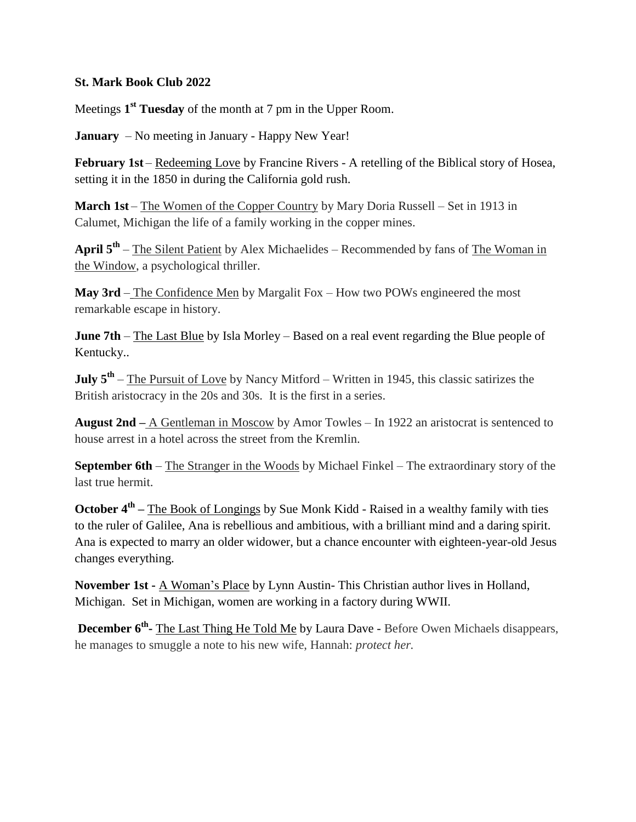## **St. Mark Book Club 2022**

Meetings **1 st Tuesday** of the month at 7 pm in the Upper Room.

**January** – No meeting in January - Happy New Year!

February 1st – Redeeming Love by Francine Rivers - A retelling of the Biblical story of Hosea, setting it in the 1850 in during the California gold rush.

**March 1st** – The Women of the Copper Country by Mary Doria Russell – Set in 1913 in Calumet, Michigan the life of a family working in the copper mines.

April 5<sup>th</sup> – The Silent Patient by Alex Michaelides – Recommended by fans of The Woman in the Window, a psychological thriller.

**May 3rd** – The Confidence Men by Margalit Fox – How two POWs engineered the most remarkable escape in history.

**June 7th** – The Last Blue by Isla Morley – Based on a real event regarding the Blue people of Kentucky..

**July 5<sup>th</sup>** – <u>The Pursuit of Love</u> by Nancy Mitford – Written in 1945, this classic satirizes the British aristocracy in the 20s and 30s. It is the first in a series.

**August 2nd –** A Gentleman in Moscow by Amor Towles – In 1922 an aristocrat is sentenced to house arrest in a hotel across the street from the Kremlin.

**September 6th** – The Stranger in the Woods by Michael Finkel – The extraordinary story of the last true hermit.

**October 4<sup>th</sup>** – The Book of Longings by Sue Monk Kidd - Raised in a wealthy family with ties to the ruler of Galilee, Ana is rebellious and ambitious, with a brilliant mind and a daring spirit. Ana is expected to marry an older widower, but a chance encounter with eighteen-year-old Jesus changes everything.

**November 1st -** A Woman's Place by Lynn Austin- This Christian author lives in Holland, Michigan. Set in Michigan, women are working in a factory during WWII.

**December 6<sup>th</sup>-** The Last Thing He Told Me by Laura Dave - Before Owen Michaels disappears, he manages to smuggle a note to his new wife, Hannah: *protect her.*